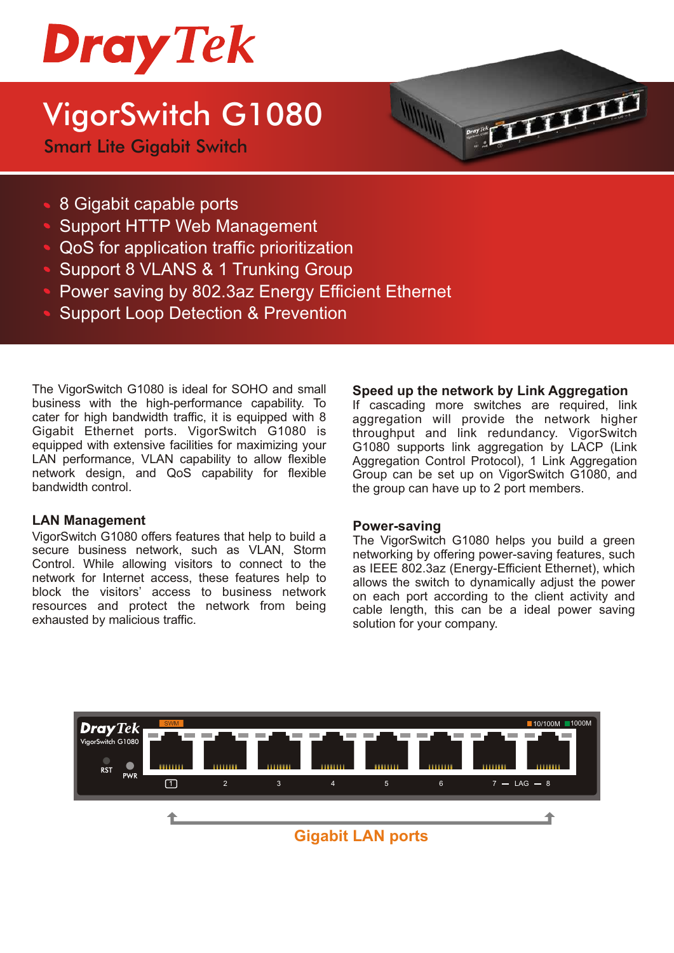

## VigorSwitch G1080

Smart Lite Gigabit Switch



- Support HTTP Web Management
- QoS for application traffic prioritization
- Support 8 VLANS & 1 Trunking Group
- **Power saving by 802.3az Energy Efficient Ethernet**
- Support Loop Detection & Prevention

The VigorSwitch G1080 is ideal for SOHO and small business with the high-performance capability. To cater for high bandwidth traffic, it is equipped with 8 Gigabit Ethernet ports. VigorSwitch G1080 is equipped with extensive facilities for maximizing your LAN performance, VLAN capability to allow flexible network design, and QoS capability for flexible bandwidth control.

#### **LAN Management**

VigorSwitch G1080 offers features that help to build a secure business network, such as VLAN, Storm Control. While allowing visitors to connect to the network for Internet access, these features help to block the visitors' access to business network resources and protect the network from being exhausted by malicious traffic.

#### **Speed up the network by Link Aggregation**

**COLLEGE** 

If cascading more switches are required, link aggregation will provide the network higher throughput and link redundancy. VigorSwitch G1080 supports link aggregation by LACP (Link Aggregation Control Protocol), 1 Link Aggregation Group can be set up on VigorSwitch G1080, and the group can have up to 2 port members.

#### **P ower-saving**

The VigorSwitch G1080 helps you build a green networking by offering power-saving features, such as IEEE 802.3az (Energy-Efficient Ethernet), which allows the switch to dynamically adjust the power on each port according to the client activity and cable length, this can be a ideal power saving solution for your company.